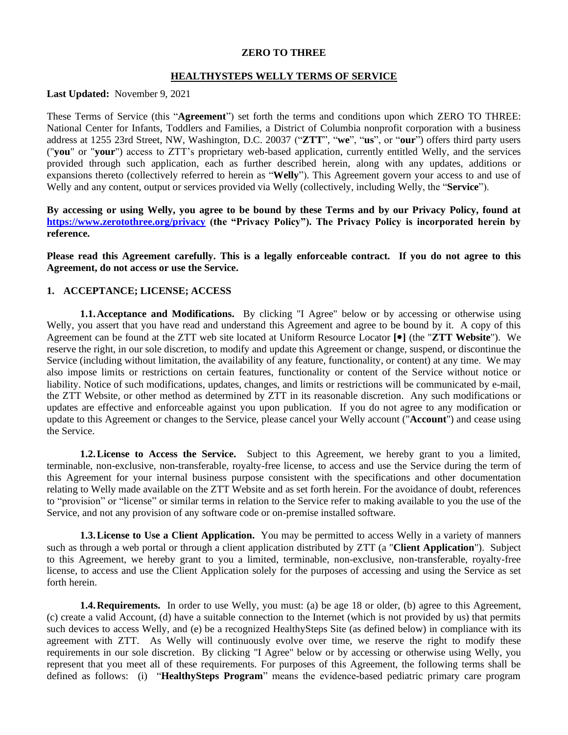### **ZERO TO THREE**

### **HEALTHYSTEPS WELLY TERMS OF SERVICE**

**Last Updated:** November 9, 2021

These Terms of Service (this "**Agreement**") set forth the terms and conditions upon which ZERO TO THREE: National Center for Infants, Toddlers and Families, a District of Columbia nonprofit corporation with a business address at 1255 23rd Street, NW, Washington, D.C. 20037 ("**ZTT**", "**we**", "**us**", or "**our**") offers third party users ("**you**" or "**your**") access to ZTT's proprietary web-based application, currently entitled Welly, and the services provided through such application, each as further described herein, along with any updates, additions or expansions thereto (collectively referred to herein as "**Welly**"). This Agreement govern your access to and use of Welly and any content, output or services provided via Welly (collectively, including Welly, the "**Service**").

**By accessing or using Welly, you agree to be bound by these Terms and by our Privacy Policy, found at <https://www.zerotothree.org/privacy> (the "Privacy Policy"). The Privacy Policy is incorporated herein by reference.** 

**Please read this Agreement carefully. This is a legally enforceable contract. If you do not agree to this Agreement, do not access or use the Service.**

# **1. ACCEPTANCE; LICENSE; ACCESS**

**1.1.Acceptance and Modifications.** By clicking "I Agree" below or by accessing or otherwise using Welly, you assert that you have read and understand this Agreement and agree to be bound by it. A copy of this Agreement can be found at the ZTT web site located at Uniform Resource Locator **[]** (the "**ZTT Website**"). We reserve the right, in our sole discretion, to modify and update this Agreement or change, suspend, or discontinue the Service (including without limitation, the availability of any feature, functionality, or content) at any time. We may also impose limits or restrictions on certain features, functionality or content of the Service without notice or liability. Notice of such modifications, updates, changes, and limits or restrictions will be communicated by e-mail, the ZTT Website, or other method as determined by ZTT in its reasonable discretion. Any such modifications or updates are effective and enforceable against you upon publication. If you do not agree to any modification or update to this Agreement or changes to the Service, please cancel your Welly account ("**Account**") and cease using the Service.

**1.2.License to Access the Service.** Subject to this Agreement, we hereby grant to you a limited, terminable, non-exclusive, non-transferable, royalty-free license, to access and use the Service during the term of this Agreement for your internal business purpose consistent with the specifications and other documentation relating to Welly made available on the ZTT Website and as set forth herein. For the avoidance of doubt, references to "provision" or "license" or similar terms in relation to the Service refer to making available to you the use of the Service, and not any provision of any software code or on-premise installed software.

**1.3.License to Use a Client Application.** You may be permitted to access Welly in a variety of manners such as through a web portal or through a client application distributed by ZTT (a "**Client Application**"). Subject to this Agreement, we hereby grant to you a limited, terminable, non-exclusive, non-transferable, royalty-free license, to access and use the Client Application solely for the purposes of accessing and using the Service as set forth herein.

**1.4. Requirements.** In order to use Welly, you must: (a) be age 18 or older, (b) agree to this Agreement, (c) create a valid Account, (d) have a suitable connection to the Internet (which is not provided by us) that permits such devices to access Welly, and (e) be a recognized HealthySteps Site (as defined below) in compliance with its agreement with ZTT. As Welly will continuously evolve over time, we reserve the right to modify these requirements in our sole discretion. By clicking "I Agree" below or by accessing or otherwise using Welly, you represent that you meet all of these requirements. For purposes of this Agreement, the following terms shall be defined as follows: (i) "**HealthySteps Program**" means the evidence-based pediatric primary care program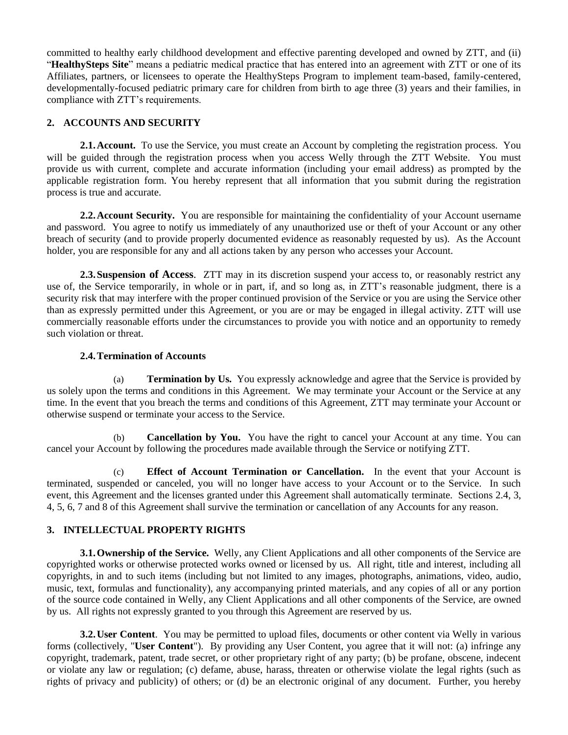committed to healthy early childhood development and effective parenting developed and owned by ZTT, and (ii) "**HealthySteps Site**" means a pediatric medical practice that has entered into an agreement with ZTT or one of its Affiliates, partners, or licensees to operate the HealthySteps Program to implement team-based, family-centered, developmentally-focused pediatric primary care for children from birth to age three (3) years and their families, in compliance with ZTT's requirements.

# **2. ACCOUNTS AND SECURITY**

**2.1. Account.** To use the Service, you must create an Account by completing the registration process. You will be guided through the registration process when you access Welly through the ZTT Website. You must provide us with current, complete and accurate information (including your email address) as prompted by the applicable registration form. You hereby represent that all information that you submit during the registration process is true and accurate.

**2.2.Account Security.** You are responsible for maintaining the confidentiality of your Account username and password. You agree to notify us immediately of any unauthorized use or theft of your Account or any other breach of security (and to provide properly documented evidence as reasonably requested by us). As the Account holder, you are responsible for any and all actions taken by any person who accesses your Account.

**2.3.Suspension of Access**. ZTT may in its discretion suspend your access to, or reasonably restrict any use of, the Service temporarily, in whole or in part, if, and so long as, in ZTT's reasonable judgment, there is a security risk that may interfere with the proper continued provision of the Service or you are using the Service other than as expressly permitted under this Agreement, or you are or may be engaged in illegal activity. ZTT will use commercially reasonable efforts under the circumstances to provide you with notice and an opportunity to remedy such violation or threat.

# **2.4.Termination of Accounts**

<span id="page-1-0"></span>(a) **Termination by Us.** You expressly acknowledge and agree that the Service is provided by us solely upon the terms and conditions in this Agreement. We may terminate your Account or the Service at any time. In the event that you breach the terms and conditions of this Agreement, ZTT may terminate your Account or otherwise suspend or terminate your access to the Service.

(b) **Cancellation by You.** You have the right to cancel your Account at any time. You can cancel your Account by following the procedures made available through the Service or notifying ZTT.

(c) **Effect of Account Termination or Cancellation.** In the event that your Account is terminated, suspended or canceled, you will no longer have access to your Account or to the Service. In such event, this Agreement and the licenses granted under this Agreement shall automatically terminate. Sections [2.4,](#page-1-0) [3,](#page-1-1) [4,](#page-2-0) [5,](#page-3-0) [6,](#page-4-0) [7](#page-4-1) and [8](#page-5-0) of this Agreement shall survive the termination or cancellation of any Accounts for any reason.

# <span id="page-1-1"></span>**3. INTELLECTUAL PROPERTY RIGHTS**

**3.1.Ownership of the Service.** Welly, any Client Applications and all other components of the Service are copyrighted works or otherwise protected works owned or licensed by us. All right, title and interest, including all copyrights, in and to such items (including but not limited to any images, photographs, animations, video, audio, music, text, formulas and functionality), any accompanying printed materials, and any copies of all or any portion of the source code contained in Welly, any Client Applications and all other components of the Service, are owned by us. All rights not expressly granted to you through this Agreement are reserved by us.

**3.2. User Content**. You may be permitted to upload files, documents or other content via Welly in various forms (collectively, "**User Content**"). By providing any User Content, you agree that it will not: (a) infringe any copyright, trademark, patent, trade secret, or other proprietary right of any party; (b) be profane, obscene, indecent or violate any law or regulation; (c) defame, abuse, harass, threaten or otherwise violate the legal rights (such as rights of privacy and publicity) of others; or (d) be an electronic original of any document. Further, you hereby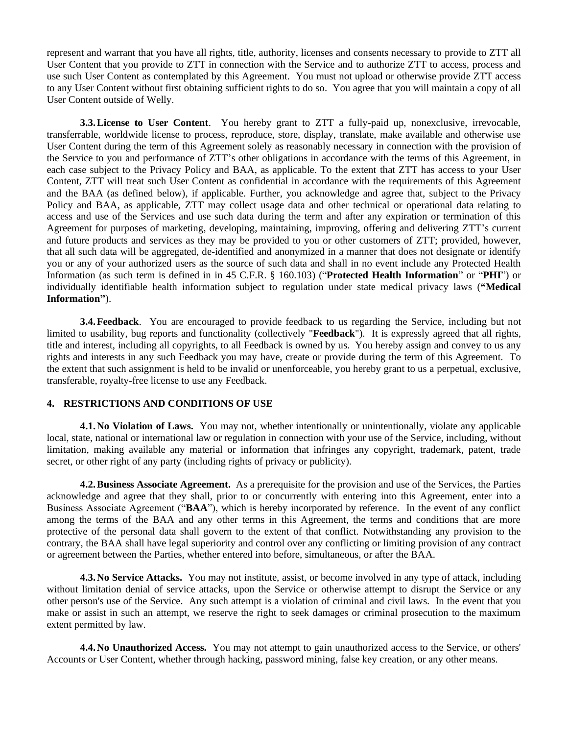represent and warrant that you have all rights, title, authority, licenses and consents necessary to provide to ZTT all User Content that you provide to ZTT in connection with the Service and to authorize ZTT to access, process and use such User Content as contemplated by this Agreement. You must not upload or otherwise provide ZTT access to any User Content without first obtaining sufficient rights to do so. You agree that you will maintain a copy of all User Content outside of Welly.

**3.3.License to User Content**. You hereby grant to ZTT a fully-paid up, nonexclusive, irrevocable, transferrable, worldwide license to process, reproduce, store, display, translate, make available and otherwise use User Content during the term of this Agreement solely as reasonably necessary in connection with the provision of the Service to you and performance of ZTT's other obligations in accordance with the terms of this Agreement, in each case subject to the Privacy Policy and BAA, as applicable. To the extent that ZTT has access to your User Content, ZTT will treat such User Content as confidential in accordance with the requirements of this Agreement and the BAA (as defined below), if applicable. Further, you acknowledge and agree that, subject to the Privacy Policy and BAA, as applicable, ZTT may collect usage data and other technical or operational data relating to access and use of the Services and use such data during the term and after any expiration or termination of this Agreement for purposes of marketing, developing, maintaining, improving, offering and delivering ZTT's current and future products and services as they may be provided to you or other customers of ZTT; provided, however, that all such data will be aggregated, de-identified and anonymized in a manner that does not designate or identify you or any of your authorized users as the source of such data and shall in no event include any Protected Health Information (as such term is defined in in 45 C.F.R. § 160.103) ("**Protected Health Information**" or "**PHI**") or individually identifiable health information subject to regulation under state medical privacy laws (**"Medical Information"**).

**3.4.Feedback**. You are encouraged to provide feedback to us regarding the Service, including but not limited to usability, bug reports and functionality (collectively "**Feedback**"). It is expressly agreed that all rights, title and interest, including all copyrights, to all Feedback is owned by us. You hereby assign and convey to us any rights and interests in any such Feedback you may have, create or provide during the term of this Agreement. To the extent that such assignment is held to be invalid or unenforceable, you hereby grant to us a perpetual, exclusive, transferable, royalty-free license to use any Feedback.

### <span id="page-2-0"></span>**4. RESTRICTIONS AND CONDITIONS OF USE**

**4.1.No Violation of Laws.** You may not, whether intentionally or unintentionally, violate any applicable local, state, national or international law or regulation in connection with your use of the Service, including, without limitation, making available any material or information that infringes any copyright, trademark, patent, trade secret, or other right of any party (including rights of privacy or publicity).

**4.2.Business Associate Agreement.** As a prerequisite for the provision and use of the Services, the Parties acknowledge and agree that they shall, prior to or concurrently with entering into this Agreement, enter into a Business Associate Agreement ("**BAA**"), which is hereby incorporated by reference. In the event of any conflict among the terms of the BAA and any other terms in this Agreement, the terms and conditions that are more protective of the personal data shall govern to the extent of that conflict. Notwithstanding any provision to the contrary, the BAA shall have legal superiority and control over any conflicting or limiting provision of any contract or agreement between the Parties, whether entered into before, simultaneous, or after the BAA.

**4.3. No Service Attacks.** You may not institute, assist, or become involved in any type of attack, including without limitation denial of service attacks, upon the Service or otherwise attempt to disrupt the Service or any other person's use of the Service. Any such attempt is a violation of criminal and civil laws. In the event that you make or assist in such an attempt, we reserve the right to seek damages or criminal prosecution to the maximum extent permitted by law.

**4.4.No Unauthorized Access.** You may not attempt to gain unauthorized access to the Service, or others' Accounts or User Content, whether through hacking, password mining, false key creation, or any other means.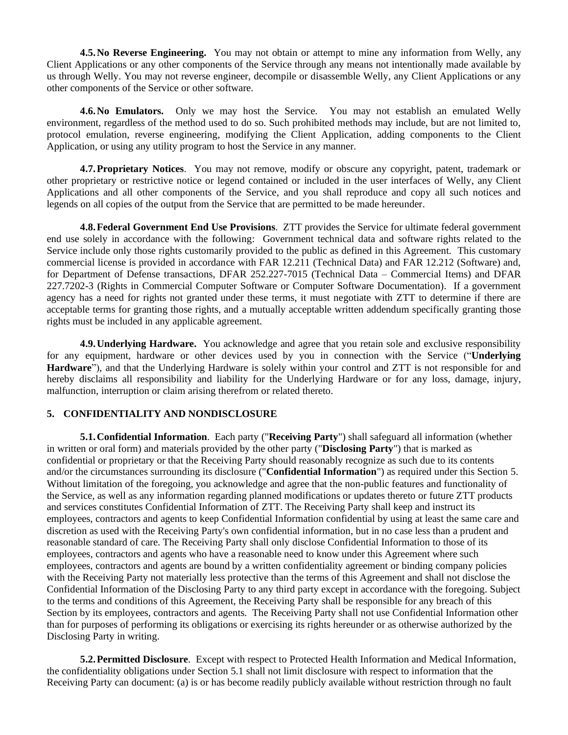**4.5. No Reverse Engineering.** You may not obtain or attempt to mine any information from Welly, any Client Applications or any other components of the Service through any means not intentionally made available by us through Welly. You may not reverse engineer, decompile or disassemble Welly, any Client Applications or any other components of the Service or other software.

**4.6.No Emulators.** Only we may host the Service. You may not establish an emulated Welly environment, regardless of the method used to do so. Such prohibited methods may include, but are not limited to, protocol emulation, reverse engineering, modifying the Client Application, adding components to the Client Application, or using any utility program to host the Service in any manner.

**4.7.Proprietary Notices**. You may not remove, modify or obscure any copyright, patent, trademark or other proprietary or restrictive notice or legend contained or included in the user interfaces of Welly, any Client Applications and all other components of the Service, and you shall reproduce and copy all such notices and legends on all copies of the output from the Service that are permitted to be made hereunder.

**4.8.Federal Government End Use Provisions**. ZTT provides the Service for ultimate federal government end use solely in accordance with the following: Government technical data and software rights related to the Service include only those rights customarily provided to the public as defined in this Agreement. This customary commercial license is provided in accordance with FAR 12.211 (Technical Data) and FAR 12.212 (Software) and, for Department of Defense transactions, DFAR 252.227-7015 (Technical Data – Commercial Items) and DFAR 227.7202-3 (Rights in Commercial Computer Software or Computer Software Documentation). If a government agency has a need for rights not granted under these terms, it must negotiate with ZTT to determine if there are acceptable terms for granting those rights, and a mutually acceptable written addendum specifically granting those rights must be included in any applicable agreement.

**4.9.Underlying Hardware.** You acknowledge and agree that you retain sole and exclusive responsibility for any equipment, hardware or other devices used by you in connection with the Service ("**Underlying Hardware**"), and that the Underlying Hardware is solely within your control and ZTT is not responsible for and hereby disclaims all responsibility and liability for the Underlying Hardware or for any loss, damage, injury, malfunction, interruption or claim arising therefrom or related thereto.

# <span id="page-3-0"></span>**5. CONFIDENTIALITY AND NONDISCLOSURE**

<span id="page-3-1"></span>**5.1.Confidential Information**. Each party ("**Receiving Party**") shall safeguard all information (whether in written or oral form) and materials provided by the other party ("**Disclosing Party**") that is marked as confidential or proprietary or that the Receiving Party should reasonably recognize as such due to its contents and/or the circumstances surrounding its disclosure ("**Confidential Information**") as required under this Section [5.](#page-3-0) Without limitation of the foregoing, you acknowledge and agree that the non-public features and functionality of the Service, as well as any information regarding planned modifications or updates thereto or future ZTT products and services constitutes Confidential Information of ZTT. The Receiving Party shall keep and instruct its employees, contractors and agents to keep Confidential Information confidential by using at least the same care and discretion as used with the Receiving Party's own confidential information, but in no case less than a prudent and reasonable standard of care. The Receiving Party shall only disclose Confidential Information to those of its employees, contractors and agents who have a reasonable need to know under this Agreement where such employees, contractors and agents are bound by a written confidentiality agreement or binding company policies with the Receiving Party not materially less protective than the terms of this Agreement and shall not disclose the Confidential Information of the Disclosing Party to any third party except in accordance with the foregoing. Subject to the terms and conditions of this Agreement, the Receiving Party shall be responsible for any breach of this Section by its employees, contractors and agents. The Receiving Party shall not use Confidential Information other than for purposes of performing its obligations or exercising its rights hereunder or as otherwise authorized by the Disclosing Party in writing.

**5.2.Permitted Disclosure**. Except with respect to Protected Health Information and Medical Information, the confidentiality obligations under Section [5.1](#page-3-1) shall not limit disclosure with respect to information that the Receiving Party can document: (a) is or has become readily publicly available without restriction through no fault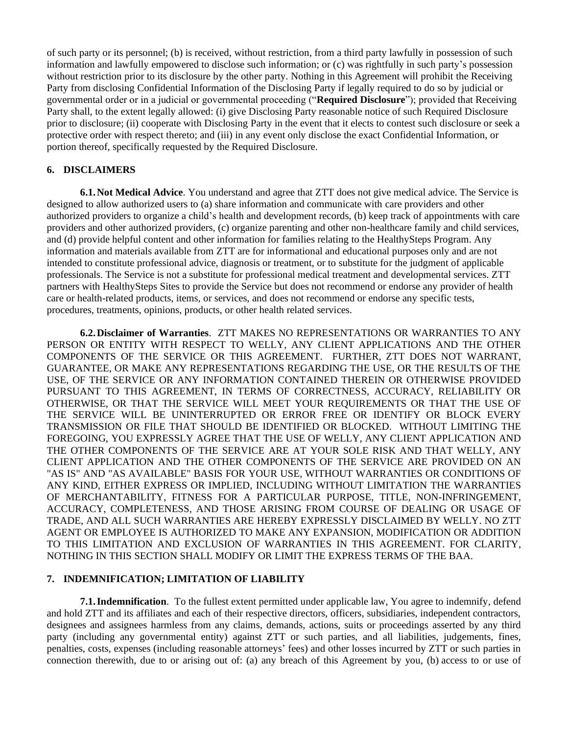of such party or its personnel; (b) is received, without restriction, from a third party lawfully in possession of such information and lawfully empowered to disclose such information; or (c) was rightfully in such party's possession without restriction prior to its disclosure by the other party. Nothing in this Agreement will prohibit the Receiving Party from disclosing Confidential Information of the Disclosing Party if legally required to do so by judicial or governmental order or in a judicial or governmental proceeding ("**Required Disclosure**"); provided that Receiving Party shall, to the extent legally allowed: (i) give Disclosing Party reasonable notice of such Required Disclosure prior to disclosure; (ii) cooperate with Disclosing Party in the event that it elects to contest such disclosure or seek a protective order with respect thereto; and (iii) in any event only disclose the exact Confidential Information, or portion thereof, specifically requested by the Required Disclosure.

# <span id="page-4-0"></span>**6. DISCLAIMERS**

**6.1.Not Medical Advice**. You understand and agree that ZTT does not give medical advice. The Service is designed to allow authorized users to (a) share information and communicate with care providers and other authorized providers to organize a child's health and development records, (b) keep track of appointments with care providers and other authorized providers, (c) organize parenting and other non-healthcare family and child services, and (d) provide helpful content and other information for families relating to the HealthySteps Program. Any information and materials available from ZTT are for informational and educational purposes only and are not intended to constitute professional advice, diagnosis or treatment, or to substitute for the judgment of applicable professionals. The Service is not a substitute for professional medical treatment and developmental services. ZTT partners with HealthySteps Sites to provide the Service but does not recommend or endorse any provider of health care or health-related products, items, or services, and does not recommend or endorse any specific tests, procedures, treatments, opinions, products, or other health related services.

**6.2.Disclaimer of Warranties**. ZTT MAKES NO REPRESENTATIONS OR WARRANTIES TO ANY PERSON OR ENTITY WITH RESPECT TO WELLY, ANY CLIENT APPLICATIONS AND THE OTHER COMPONENTS OF THE SERVICE OR THIS AGREEMENT. FURTHER, ZTT DOES NOT WARRANT, GUARANTEE, OR MAKE ANY REPRESENTATIONS REGARDING THE USE, OR THE RESULTS OF THE USE, OF THE SERVICE OR ANY INFORMATION CONTAINED THEREIN OR OTHERWISE PROVIDED PURSUANT TO THIS AGREEMENT, IN TERMS OF CORRECTNESS, ACCURACY, RELIABILITY OR OTHERWISE, OR THAT THE SERVICE WILL MEET YOUR REQUIREMENTS OR THAT THE USE OF THE SERVICE WILL BE UNINTERRUPTED OR ERROR FREE OR IDENTIFY OR BLOCK EVERY TRANSMISSION OR FILE THAT SHOULD BE IDENTIFIED OR BLOCKED. WITHOUT LIMITING THE FOREGOING, YOU EXPRESSLY AGREE THAT THE USE OF WELLY, ANY CLIENT APPLICATION AND THE OTHER COMPONENTS OF THE SERVICE ARE AT YOUR SOLE RISK AND THAT WELLY, ANY CLIENT APPLICATION AND THE OTHER COMPONENTS OF THE SERVICE ARE PROVIDED ON AN "AS IS" AND "AS AVAILABLE" BASIS FOR YOUR USE, WITHOUT WARRANTIES OR CONDITIONS OF ANY KIND, EITHER EXPRESS OR IMPLIED, INCLUDING WITHOUT LIMITATION THE WARRANTIES OF MERCHANTABILITY, FITNESS FOR A PARTICULAR PURPOSE, TITLE, NON-INFRINGEMENT, ACCURACY, COMPLETENESS, AND THOSE ARISING FROM COURSE OF DEALING OR USAGE OF TRADE, AND ALL SUCH WARRANTIES ARE HEREBY EXPRESSLY DISCLAIMED BY WELLY. NO ZTT AGENT OR EMPLOYEE IS AUTHORIZED TO MAKE ANY EXPANSION, MODIFICATION OR ADDITION TO THIS LIMITATION AND EXCLUSION OF WARRANTIES IN THIS AGREEMENT. FOR CLARITY, NOTHING IN THIS SECTION SHALL MODIFY OR LIMIT THE EXPRESS TERMS OF THE BAA.

#### <span id="page-4-1"></span>**7. INDEMNIFICATION; LIMITATION OF LIABILITY**

**7.1.Indemnification**. To the fullest extent permitted under applicable law, You agree to indemnify, defend and hold ZTT and its affiliates and each of their respective directors, officers, subsidiaries, independent contractors, designees and assignees harmless from any claims, demands, actions, suits or proceedings asserted by any third party (including any governmental entity) against ZTT or such parties, and all liabilities, judgements, fines, penalties, costs, expenses (including reasonable attorneys' fees) and other losses incurred by ZTT or such parties in connection therewith, due to or arising out of: (a) any breach of this Agreement by you, (b) access to or use of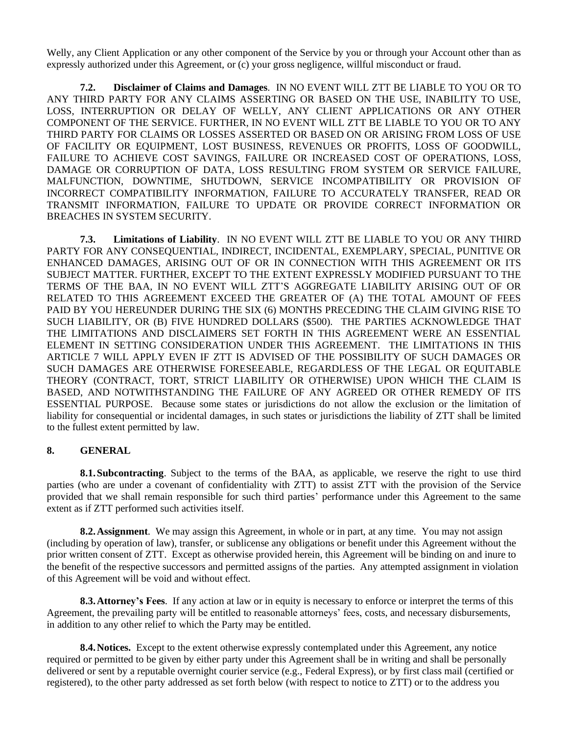Welly, any Client Application or any other component of the Service by you or through your Account other than as expressly authorized under this Agreement, or (c) your gross negligence, willful misconduct or fraud.

**7.2. Disclaimer of Claims and Damages**. IN NO EVENT WILL ZTT BE LIABLE TO YOU OR TO ANY THIRD PARTY FOR ANY CLAIMS ASSERTING OR BASED ON THE USE, INABILITY TO USE, LOSS, INTERRUPTION OR DELAY OF WELLY, ANY CLIENT APPLICATIONS OR ANY OTHER COMPONENT OF THE SERVICE. FURTHER, IN NO EVENT WILL ZTT BE LIABLE TO YOU OR TO ANY THIRD PARTY FOR CLAIMS OR LOSSES ASSERTED OR BASED ON OR ARISING FROM LOSS OF USE OF FACILITY OR EQUIPMENT, LOST BUSINESS, REVENUES OR PROFITS, LOSS OF GOODWILL, FAILURE TO ACHIEVE COST SAVINGS, FAILURE OR INCREASED COST OF OPERATIONS, LOSS, DAMAGE OR CORRUPTION OF DATA, LOSS RESULTING FROM SYSTEM OR SERVICE FAILURE, MALFUNCTION, DOWNTIME, SHUTDOWN, SERVICE INCOMPATIBILITY OR PROVISION OF INCORRECT COMPATIBILITY INFORMATION, FAILURE TO ACCURATELY TRANSFER, READ OR TRANSMIT INFORMATION, FAILURE TO UPDATE OR PROVIDE CORRECT INFORMATION OR BREACHES IN SYSTEM SECURITY.

**7.3. Limitations of Liability**. IN NO EVENT WILL ZTT BE LIABLE TO YOU OR ANY THIRD PARTY FOR ANY CONSEQUENTIAL, INDIRECT, INCIDENTAL, EXEMPLARY, SPECIAL, PUNITIVE OR ENHANCED DAMAGES, ARISING OUT OF OR IN CONNECTION WITH THIS AGREEMENT OR ITS SUBJECT MATTER. FURTHER, EXCEPT TO THE EXTENT EXPRESSLY MODIFIED PURSUANT TO THE TERMS OF THE BAA, IN NO EVENT WILL ZTT'S AGGREGATE LIABILITY ARISING OUT OF OR RELATED TO THIS AGREEMENT EXCEED THE GREATER OF (A) THE TOTAL AMOUNT OF FEES PAID BY YOU HEREUNDER DURING THE SIX (6) MONTHS PRECEDING THE CLAIM GIVING RISE TO SUCH LIABILITY, OR (B) FIVE HUNDRED DOLLARS (\$500). THE PARTIES ACKNOWLEDGE THAT THE LIMITATIONS AND DISCLAIMERS SET FORTH IN THIS AGREEMENT WERE AN ESSENTIAL ELEMENT IN SETTING CONSIDERATION UNDER THIS AGREEMENT. THE LIMITATIONS IN THIS ARTICLE [7](#page-4-1) WILL APPLY EVEN IF ZTT IS ADVISED OF THE POSSIBILITY OF SUCH DAMAGES OR SUCH DAMAGES ARE OTHERWISE FORESEEABLE, REGARDLESS OF THE LEGAL OR EQUITABLE THEORY (CONTRACT, TORT, STRICT LIABILITY OR OTHERWISE) UPON WHICH THE CLAIM IS BASED, AND NOTWITHSTANDING THE FAILURE OF ANY AGREED OR OTHER REMEDY OF ITS ESSENTIAL PURPOSE. Because some states or jurisdictions do not allow the exclusion or the limitation of liability for consequential or incidental damages, in such states or jurisdictions the liability of ZTT shall be limited to the fullest extent permitted by law.

### <span id="page-5-0"></span>**8. GENERAL**

**8.1.Subcontracting**. Subject to the terms of the BAA, as applicable, we reserve the right to use third parties (who are under a covenant of confidentiality with ZTT) to assist ZTT with the provision of the Service provided that we shall remain responsible for such third parties' performance under this Agreement to the same extent as if ZTT performed such activities itself.

**8.2.Assignment**. We may assign this Agreement, in whole or in part, at any time. You may not assign (including by operation of law), transfer, or sublicense any obligations or benefit under this Agreement without the prior written consent of ZTT. Except as otherwise provided herein, this Agreement will be binding on and inure to the benefit of the respective successors and permitted assigns of the parties. Any attempted assignment in violation of this Agreement will be void and without effect.

**8.3.Attorney's Fees**. If any action at law or in equity is necessary to enforce or interpret the terms of this Agreement, the prevailing party will be entitled to reasonable attorneys' fees, costs, and necessary disbursements, in addition to any other relief to which the Party may be entitled.

**8.4. Notices.** Except to the extent otherwise expressly contemplated under this Agreement, any notice required or permitted to be given by either party under this Agreement shall be in writing and shall be personally delivered or sent by a reputable overnight courier service (e.g., Federal Express), or by first class mail (certified or registered), to the other party addressed as set forth below (with respect to notice to ZTT) or to the address you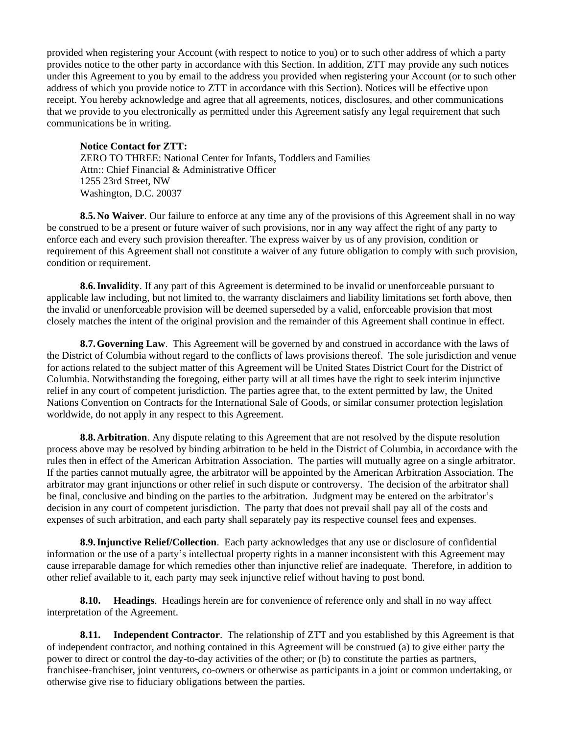provided when registering your Account (with respect to notice to you) or to such other address of which a party provides notice to the other party in accordance with this Section. In addition, ZTT may provide any such notices under this Agreement to you by email to the address you provided when registering your Account (or to such other address of which you provide notice to ZTT in accordance with this Section). Notices will be effective upon receipt. You hereby acknowledge and agree that all agreements, notices, disclosures, and other communications that we provide to you electronically as permitted under this Agreement satisfy any legal requirement that such communications be in writing.

# **Notice Contact for ZTT:**

ZERO TO THREE: National Center for Infants, Toddlers and Families Attn:: Chief Financial & Administrative Officer 1255 23rd Street, NW Washington, D.C. 20037

**8.5. No Waiver**. Our failure to enforce at any time any of the provisions of this Agreement shall in no way be construed to be a present or future waiver of such provisions, nor in any way affect the right of any party to enforce each and every such provision thereafter. The express waiver by us of any provision, condition or requirement of this Agreement shall not constitute a waiver of any future obligation to comply with such provision, condition or requirement.

**8.6.Invalidity**. If any part of this Agreement is determined to be invalid or unenforceable pursuant to applicable law including, but not limited to, the warranty disclaimers and liability limitations set forth above, then the invalid or unenforceable provision will be deemed superseded by a valid, enforceable provision that most closely matches the intent of the original provision and the remainder of this Agreement shall continue in effect.

**8.7.Governing Law**. This Agreement will be governed by and construed in accordance with the laws of the District of Columbia without regard to the conflicts of laws provisions thereof. The sole jurisdiction and venue for actions related to the subject matter of this Agreement will be United States District Court for the District of Columbia. Notwithstanding the foregoing, either party will at all times have the right to seek interim injunctive relief in any court of competent jurisdiction. The parties agree that, to the extent permitted by law, the United Nations Convention on Contracts for the International Sale of Goods, or similar consumer protection legislation worldwide, do not apply in any respect to this Agreement.

**8.8.** Arbitration. Any dispute relating to this Agreement that are not resolved by the dispute resolution process above may be resolved by binding arbitration to be held in the District of Columbia, in accordance with the rules then in effect of the American Arbitration Association. The parties will mutually agree on a single arbitrator. If the parties cannot mutually agree, the arbitrator will be appointed by the American Arbitration Association. The arbitrator may grant injunctions or other relief in such dispute or controversy. The decision of the arbitrator shall be final, conclusive and binding on the parties to the arbitration. Judgment may be entered on the arbitrator's decision in any court of competent jurisdiction. The party that does not prevail shall pay all of the costs and expenses of such arbitration, and each party shall separately pay its respective counsel fees and expenses.

**8.9.Injunctive Relief/Collection**. Each party acknowledges that any use or disclosure of confidential information or the use of a party's intellectual property rights in a manner inconsistent with this Agreement may cause irreparable damage for which remedies other than injunctive relief are inadequate. Therefore, in addition to other relief available to it, each party may seek injunctive relief without having to post bond.

**8.10. Headings**. Headings herein are for convenience of reference only and shall in no way affect interpretation of the Agreement.

**8.11. Independent Contractor**. The relationship of ZTT and you established by this Agreement is that of independent contractor, and nothing contained in this Agreement will be construed (a) to give either party the power to direct or control the day-to-day activities of the other; or (b) to constitute the parties as partners, franchisee-franchiser, joint venturers, co-owners or otherwise as participants in a joint or common undertaking, or otherwise give rise to fiduciary obligations between the parties.